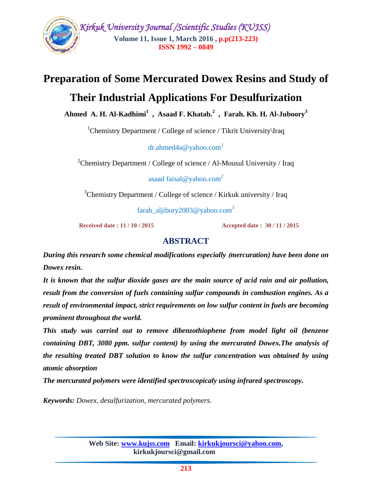

# **Preparation of Some Mercurated Dowex Resins and Study of**

# **Their Industrial Applications For Desulfurization**

**Ahmed A. H. Al-Kadhimi<sup>1</sup> , Asaad F. Khatab. 2 , Farah. Kh. H. Al-Juboory<sup>3</sup>**

<sup>1</sup>Chemistry Department / College of science / Tikrit University \Iraq

dr.ahmed $4a@$  vahoo.com<sup>1</sup>

<sup>2</sup>Chemistry Department / College of science / Al-Mousul University / Iraq

asaad faisal@yahoo.com<sup>2</sup>

 $3$ Chemistry Department / College of science / Kirkuk university / Iraq

farah\_aljibory2003@yahoo.com<sup>3</sup>

 **Received date : 11 / 10 / 2015 Accepted date : 30 / 11 / 2015**

# **ABSTRACT**

*During this research some chemical modifications especially* **)***mercuration) have been done on Dowex resin.*

*It is known that the sulfur dioxide gases are the main source of acid rain and air pollution, result from the conversion of fuels containing sulfur compounds in combustion engines. As a result of environmental impact, strict requirements on low sulfur content in fuels are becoming prominent throughout the world.*

*This study was carried out to remove dibenzothiophene from model light oil (benzene containing DBT, 3080 ppm. sulfur content) by using the mercurated Dowex.The analysis of the resulting treated DBT solution to know the sulfur concentration was obtained by using atomic absorption*

*The mercurated polymers were identified spectroscopicaly using infrared spectroscopy.*

*Keywords: Dowex, desulfurization, mercurated polymers.*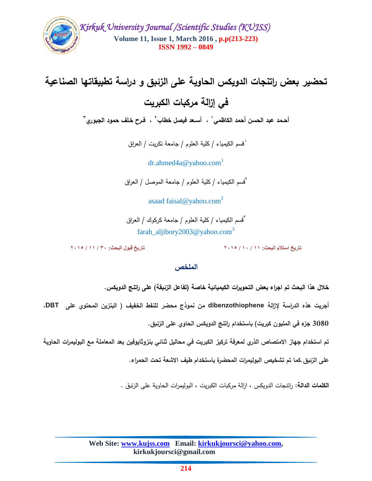

**تحضير بعض راتنجات الدويكس الحاوية عمى الزئبق و دراسة تطبيقاتها الصناعية** 

**في إزالة مركبات الكبريت**

أحـمد عبد الحسن أحمد الكاظم*ي* ٰ ، أســعد فيصل خطاب ِ ` ، فـرح خـلف حمود الجبوري ّ

1 قسم الكيمياء / كمية العموم / جامعة تكريت / العراق

 $dr.$ ahmed $4a@$ yahoo.com<sup>1</sup>

<sup>ا</sup>قسم الكيمياء / كلية العلوم / جامعة الموصل / العراق

asaad faisal@yahoo.com<sup>2</sup>

3 قسم الكيمياء / كمية العموم / جامعة كركوك / العراق farah\_aljibory2003@yahoo.com<sup>3</sup>

**تاريخ استالم البحث: 11 / 10 / 2015 تاريخ قبول البحث: 30 / 11 / 2015**

#### **الممخص**

خلال هذا البحث تم اجراء بعض التحويرات الكيميائية خاصة (تفاعل الزئبقة) عل*ى* راتنج الدويكس.

**أجريت هذه الدراسة إلزالة dibenzothiophene من نموذج محضر لمنفط الخفيف ) البنزين المحتوي عمى DBT،** 

**3080 جزء في المميون كبريت( باستخدام راتنج الدويكس الحاوي عمى الزئبق.**

**تم استخدام جهاز االمتصاص الذري لمعرفة تركيز الكبريت في محاليل ثنائي بنزوثايوفين بعد المعاممة مع البوليمرات الحاوية** 

**عمى الزئبق.كما تم تشخيص البوليمرات المحضرة باستخدام طيف االشعة تحت الحمراء.**

**الكممات الدالة:** راتنجات الدويكس ، ازالة مركبات الكبريت ، البوليمرات الحاوية عمى الزئبق .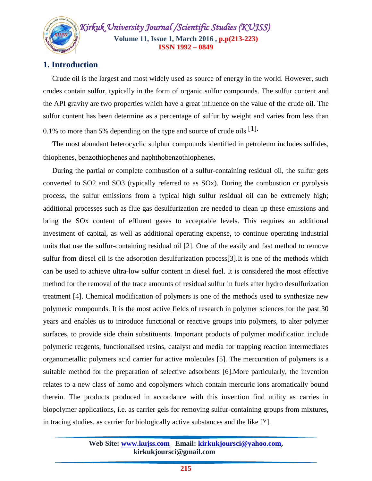

# **1. Introduction**

 Crude oil is the largest and most widely used as source of energy in the world. However, such crudes contain sulfur, typically in the form of organic sulfur compounds. The sulfur content and the API gravity are two properties which have a great influence on the value of the crude oil. The sulfur content has been determine as a percentage of sulfur by weight and varies from less than 0.1% to more than 5% depending on the type and source of crude oils [1].

 The most abundant heterocyclic sulphur compounds identified in petroleum includes sulfides, thiophenes, benzothiophenes and naphthobenzothiophenes.

 During the partial or complete combustion of a sulfur-containing residual oil, the sulfur gets converted to SO2 and SO3 (typically referred to as SOx). During the combustion or pyrolysis process, the sulfur emissions from a typical high sulfur residual oil can be extremely high; additional processes such as flue gas desulfurization are needed to clean up these emissions and bring the SOx content of effluent gases to acceptable levels. This requires an additional investment of capital, as well as additional operating expense, to continue operating industrial units that use the sulfur-containing residual oil [2]. One of the easily and fast method to remove sulfur from diesel oil is the adsorption desulfurization process[3].It is one of the methods which can be used to achieve ultra-low sulfur content in diesel fuel. It is considered the most effective method for the removal of the trace amounts of residual sulfur in fuels after hydro desulfurization treatment [4]. Chemical modification of polymers is one of the methods used to synthesize new polymeric compounds. It is the most active fields of research in polymer sciences for the past 30 years and enables us to introduce functional or reactive groups into polymers, to alter polymer surfaces, to provide side chain substituents. Important products of polymer modification include polymeric reagents, functionalised resins, catalyst and media for trapping reaction intermediates organometallic polymers acid carrier for active molecules [5]. The mercuration of polymers is a suitable method for the preparation of selective adsorbents [6].More particularly, the invention relates to a new class of homo and copolymers which contain mercuric ions aromatically bound therein. The products produced in accordance with this invention find utility as carries in biopolymer applications, i.e. as carrier gels for removing sulfur-containing groups from mixtures, in tracing studies, as carrier for biologically active substances and the like [7].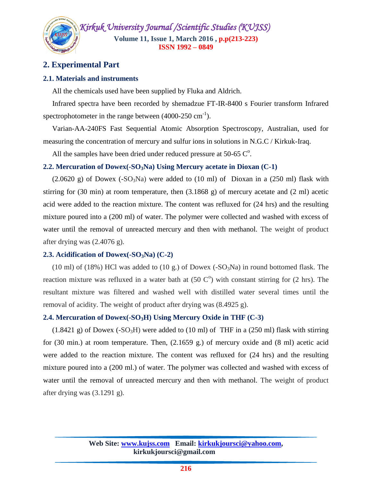# **2. Experimental Part**

#### **2.1. Materials and instruments**

All the chemicals used have been supplied by Fluka and Aldrich.

 Infrared spectra have been recorded by shemadzue FT-IR-8400 s Fourier transform Infrared spectrophotometer in the range between  $(4000-250 \text{ cm}^{-1})$ .

 Varian-AA-240FS Fast Sequential Atomic Absorption Spectroscopy, Australian, used for measuring the concentration of mercury and sulfur ions in solutions in N.G.C / Kirkuk-Iraq.

All the samples have been dried under reduced pressure at  $50$ -65  $^{\circ}$ .

#### **2.2. Mercuration of Dowex(-SO3Na) Using Mercury acetate in Dioxan (C-1)**

 $(2.0620 \text{ g})$  of Dowex  $(-\text{SO}_3\text{Na})$  were added to  $(10 \text{ ml})$  of Dioxan in a  $(250 \text{ ml})$  flask with stirring for (30 min) at room temperature, then  $(3.1868 \text{ g})$  of mercury acetate and  $(2 \text{ ml})$  acetic acid were added to the reaction mixture. The content was refluxed for (24 hrs) and the resulting mixture poured into a (200 ml) of water. The polymer were collected and washed with excess of water until the removal of unreacted mercury and then with methanol. The weight of product after drying was (2.4076 g).

#### **2.3. Acidification of Dowex(-SO3Na) (C-2)**

(10 ml) of (18%) HCl was added to (10 g.) of Dowex (-SO<sub>3</sub>Na) in round bottomed flask. The reaction mixture was refluxed in a water bath at  $(50 \, \text{C}^{\text{o}})$  with constant stirring for  $(2 \text{ hrs})$ . The resultant mixture was filtered and washed well with distilled water several times until the removal of acidity. The weight of product after drying was (8.4925 g).

#### **2.4. Mercuration of Dowex(-SO3H) Using Mercury Oxide in THF (C-3)**

 $(1.8421 \text{ g})$  of Dowex  $(-SO<sub>3</sub>H)$  were added to  $(10 \text{ ml})$  of THF in a  $(250 \text{ ml})$  flask with stirring for (30 min.) at room temperature. Then, (2.1659 g.) of mercury oxide and (8 ml) acetic acid were added to the reaction mixture. The content was refluxed for (24 hrs) and the resulting mixture poured into a (200 ml.) of water. The polymer was collected and washed with excess of water until the removal of unreacted mercury and then with methanol. The weight of product after drying was (3.1291 g).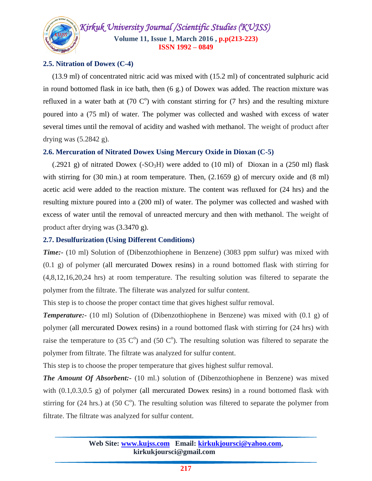

#### **2.5. Nitration of Dowex (C-4)**

 (13.9 ml) of concentrated nitric acid was mixed with (15.2 ml) of concentrated sulphuric acid in round bottomed flask in ice bath, then (6 g.) of Dowex was added. The reaction mixture was refluxed in a water bath at  $(70 \text{ C}^{\circ})$  with constant stirring for  $(7 \text{ hrs})$  and the resulting mixture poured into a (75 ml) of water. The polymer was collected and washed with excess of water several times until the removal of acidity and washed with methanol. The weight of product after drying was  $(5.2842 \text{ g})$ .

#### **2.6. Mercuration of Nitrated Dowex Using Mercury Oxide in Dioxan (C-5)**

(.2921 g) of nitrated Dowex ( $-SO<sub>3</sub>H$ ) were added to (10 ml) of Dioxan in a (250 ml) flask with stirring for (30 min.) at room temperature. Then, (2.1659 g) of mercury oxide and (8 ml) acetic acid were added to the reaction mixture. The content was refluxed for (24 hrs) and the resulting mixture poured into a (200 ml) of water. The polymer was collected and washed with excess of water until the removal of unreacted mercury and then with methanol. The weight of product after drying was (3.3470 g).

#### **2.7. Desulfurization (Using Different Conditions)**

*Time:-* (10 ml) Solution of (Dibenzothiophene in Benzene) (3083 ppm sulfur) was mixed with  $(0.1 \text{ g})$  of polymer (all mercurated Dowex resins) in a round bottomed flask with stirring for (4,8,12,16,20,24 hrs) at room temperature. The resulting solution was filtered to separate the polymer from the filtrate. The filterate was analyzed for sulfur content.

This step is to choose the proper contact time that gives highest sulfur removal.

*Temperature:-* (10 ml) Solution of (Dibenzothiophene in Benzene) was mixed with (0.1 g) of polymer (all mercurated Dowex resins) in a round bottomed flask with stirring for (24 hrs) with raise the temperature to (35  $\mathbb{C}^{\circ}$ ) and (50  $\mathbb{C}^{\circ}$ ). The resulting solution was filtered to separate the polymer from filtrate. The filtrate was analyzed for sulfur content.

This step is to choose the proper temperature that gives highest sulfur removal.

*The Amount Of Absorbent:* (10 ml.) solution of (Dibenzothiophene in Benzene) was mixed with  $(0.1, 0.3, 0.5, g)$  of polymer (all mercurated Dowex resins) in a round bottomed flask with stirring for (24 hrs.) at (50  $\degree$ C°). The resulting solution was filtered to separate the polymer from filtrate. The filtrate was analyzed for sulfur content.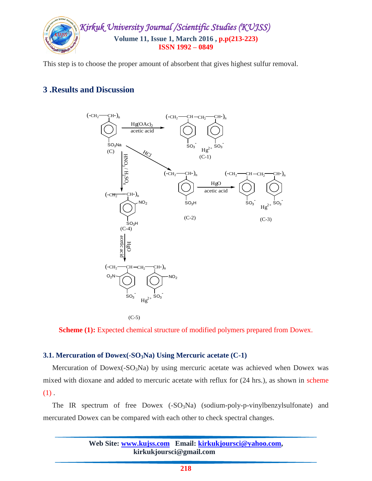

This step is to choose the proper amount of absorbent that gives highest sulfur removal.

# **3 .Results and Discussion**



 $(C-5)$ 

**Scheme** (1): Expected chemical structure of modified polymers prepared from Dowex.

#### **3.1. Mercuration of Dowex(-SO3Na) Using Mercuric acetate (C-1)**

Mercuration of Dowex(- $SO<sub>3</sub>Na$ ) by using mercuric acetate was achieved when Dowex was mixed with dioxane and added to mercuric acetate with reflux for (24 hrs.), as shown in scheme  $(1)$ .

The IR spectrum of free Dowex  $(-SO_3Na)$  (sodium-poly-p-vinylbenzylsulfonate) and mercurated Dowex can be compared with each other to check spectral changes.

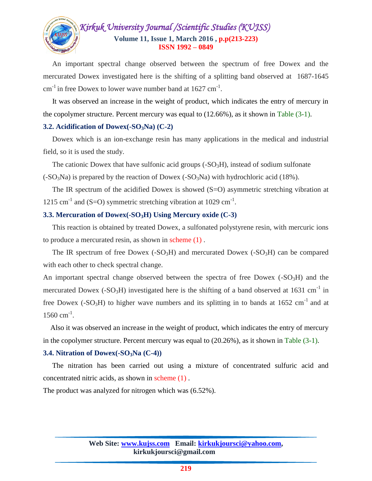

 An important spectral change observed between the spectrum of free Dowex and the mercurated Dowex investigated here is the shifting of a splitting band observed at 1687-1645  $\text{cm}^{-1}$  in free Dowex to lower wave number band at 1627  $\text{cm}^{-1}$ .

 It was observed an increase in the weight of product, which indicates the entry of mercury in the copolymer structure. Percent mercury was equal to (12.66%), as it shown in Table (3-1).

#### **3.2. Acidification of Dowex(-SO3Na) (C-2)**

 Dowex which is an ion-exchange resin has many applications in the medical and industrial field, so it is used the study.

The cationic Dowex that have sulfonic acid groups  $(-SO<sub>3</sub>H)$ , instead of sodium sulfonate

 $(-SO<sub>3</sub>Na)$  is prepared by the reaction of Dowex  $(-SO<sub>3</sub>Na)$  with hydrochloric acid (18%).

The IR spectrum of the acidified Dowex is showed (S=O) asymmetric stretching vibration at 1215 cm<sup>-1</sup> and (S=O) symmetric stretching vibration at 1029 cm<sup>-1</sup>.

#### **3.3. Mercuration of Dowex(-SO3H) Using Mercury oxide (C-3)**

 This reaction is obtained by treated Dowex, a sulfonated polystyrene resin, with mercuric ions to produce a mercurated resin, as shown in scheme (1) .

The IR spectrum of free Dowex  $(-SO<sub>3</sub>H)$  and mercurated Dowex  $(-SO<sub>3</sub>H)$  can be compared with each other to check spectral change.

An important spectral change observed between the spectra of free Dowex  $(-SO<sub>3</sub>H)$  and the mercurated Dowex (-SO<sub>3</sub>H) investigated here is the shifting of a band observed at 1631 cm<sup>-1</sup> in free Dowex (-SO<sub>3</sub>H) to higher wave numbers and its splitting in to bands at 1652 cm<sup>-1</sup> and at 1560 cm<sup>-1</sup>.

 Also it was observed an increase in the weight of product, which indicates the entry of mercury in the copolymer structure. Percent mercury was equal to (20.26%), as it shown in Table (3-1).

#### **3.4. Nitration of Dowex(-SO3Na (C-4))**

 The nitration has been carried out using a mixture of concentrated sulfuric acid and concentrated nitric acids, as shown in scheme (1) .

The product was analyzed for nitrogen which was (6.52%).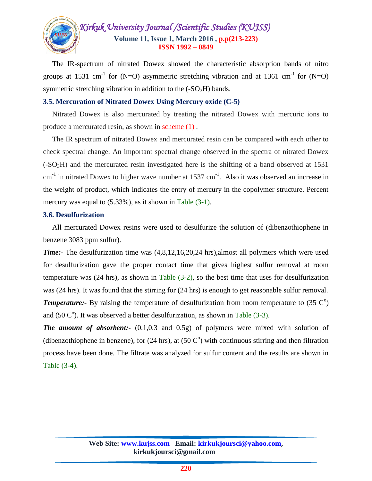

 The IR-spectrum of nitrated Dowex showed the characteristic absorption bands of nitro groups at 1531 cm<sup>-1</sup> for (N=O) asymmetric stretching vibration and at 1361 cm<sup>-1</sup> for (N=O) symmetric stretching vibration in addition to the  $(-SO<sub>3</sub>H)$  bands.

#### **3.5. Mercuration of Nitrated Dowex Using Mercury oxide (C-5)**

 Nitrated Dowex is also mercurated by treating the nitrated Dowex with mercuric ions to produce a mercurated resin, as shown in scheme (1) .

 The IR spectrum of nitrated Dowex and mercurated resin can be compared with each other to check spectral change. An important spectral change observed in the spectra of nitrated Dowex  $(-SO<sub>3</sub>H)$  and the mercurated resin investigated here is the shifting of a band observed at 1531  $cm<sup>-1</sup>$  in nitrated Dowex to higher wave number at 1537  $cm<sup>-1</sup>$ . Also it was observed an increase in the weight of product, which indicates the entry of mercury in the copolymer structure. Percent mercury was equal to  $(5.33\%)$ , as it shown in Table  $(3-1)$ .

#### **3.6. Desulfurization**

 All mercurated Dowex resins were used to desulfurize the solution of (dibenzothiophene in benzene 3083 ppm sulfur).

*Time:-* The desulfurization time was (4,8,12,16,20,24 hrs),almost all polymers which were used for desulfurization gave the proper contact time that gives highest sulfur removal at room temperature was (24 hrs), as shown in Table (3-2), so the best time that uses for desulfurization was (24 hrs). It was found that the stirring for (24 hrs) is enough to get reasonable sulfur removal. **Temperature:**- By raising the temperature of desulfurization from room temperature to (35 C<sup>o</sup>) and (50  $\mathbb{C}^{\circ}$ ). It was observed a better desulfurization, as shown in Table (3-3).

*The amount of absorbent:-* (0.1,0.3 and 0.5g) of polymers were mixed with solution of (dibenzothiophene in benzene), for  $(24 \text{ hrs})$ , at  $(50 \text{ C}^{\circ})$  with continuous stirring and then filtration process have been done. The filtrate was analyzed for sulfur content and the results are shown in Table (3-4).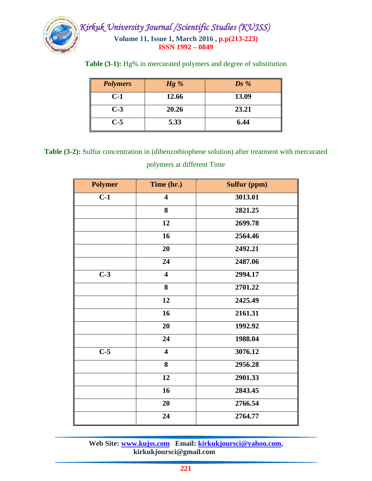

|  |  | Table (3-1): Hg% in mercurated polymers and degree of substitution |
|--|--|--------------------------------------------------------------------|
|  |  |                                                                    |

| <b>Polymers</b> | $Hg\%$ | $\mathbf{D} s \mathcal{%}$ |
|-----------------|--------|----------------------------|
| $C-1$           | 12.66  | 13.09                      |
| $C-3$           | 20.26  | 23.21                      |
| $C-5$           | 5.33   | 6.44                       |

**Table (3-2):** Sulfur concentration in (dibenzothiophene solution) after treatment with mercurated polymers at different Time

| <b>Polymer</b>   | Time (hr.)              | <b>Sulfur (ppm)</b> |
|------------------|-------------------------|---------------------|
| $C-1$            | $\overline{\mathbf{4}}$ | 3013.01             |
|                  | 8                       | 2821.25             |
|                  | 12                      | 2699.78             |
|                  | 16                      | 2564.46             |
|                  | 20                      | 2492.21             |
|                  | 24                      | 2487.06             |
| $\overline{C-3}$ | $\overline{\mathbf{4}}$ | 2994.17             |
|                  | 8                       | 2701.22             |
|                  | 12                      | 2425.49             |
|                  | 16                      | 2161.31             |
|                  | 20                      | 1992.92             |
|                  | 24                      | 1988.04             |
| $C-5$            | $\overline{\mathbf{4}}$ | 3076.12             |
|                  | 8                       | 2956.28             |
|                  | 12                      | 2901.33             |
|                  | 16                      | 2843.45             |
|                  | 20                      | 2766.54             |
|                  | 24                      | 2764.77             |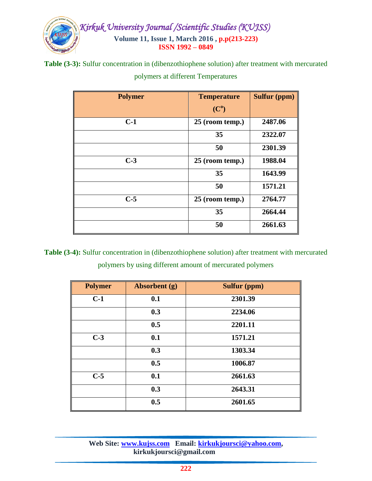

**Table (3-3):** Sulfur concentration in (dibenzothiophene solution) after treatment with mercurated

| <b>Polymer</b> | <b>Temperature</b> | <b>Sulfur (ppm)</b> |
|----------------|--------------------|---------------------|
|                | (C <sup>0</sup> )  |                     |
| $C-1$          | $25$ (room temp.)  | 2487.06             |
|                | 35                 | 2322.07             |
|                | 50                 | 2301.39             |
| $C-3$          | 25 (room temp.)    | 1988.04             |
|                | 35                 | 1643.99             |
|                | 50                 | 1571.21             |
| $C-5$          | 25 (room temp.)    | 2764.77             |
|                | 35                 | 2664.44             |
|                | 50                 | 2661.63             |

polymers at different Temperatures

**Table (3-4):** Sulfur concentration in (dibenzothiophene solution) after treatment with mercurated polymers by using different amount of mercurated polymers

| <b>Polymer</b> | Absorbent (g) | <b>Sulfur (ppm)</b> |
|----------------|---------------|---------------------|
| $C-1$          | 0.1           | 2301.39             |
|                | 0.3           | 2234.06             |
|                | 0.5           | 2201.11             |
| $C-3$          | 0.1           | 1571.21             |
|                | 0.3           | 1303.34             |
|                | 0.5           | 1006.87             |
| $C-5$          | 0.1           | 2661.63             |
|                | 0.3           | 2643.31             |
|                | 0.5           | 2601.65             |